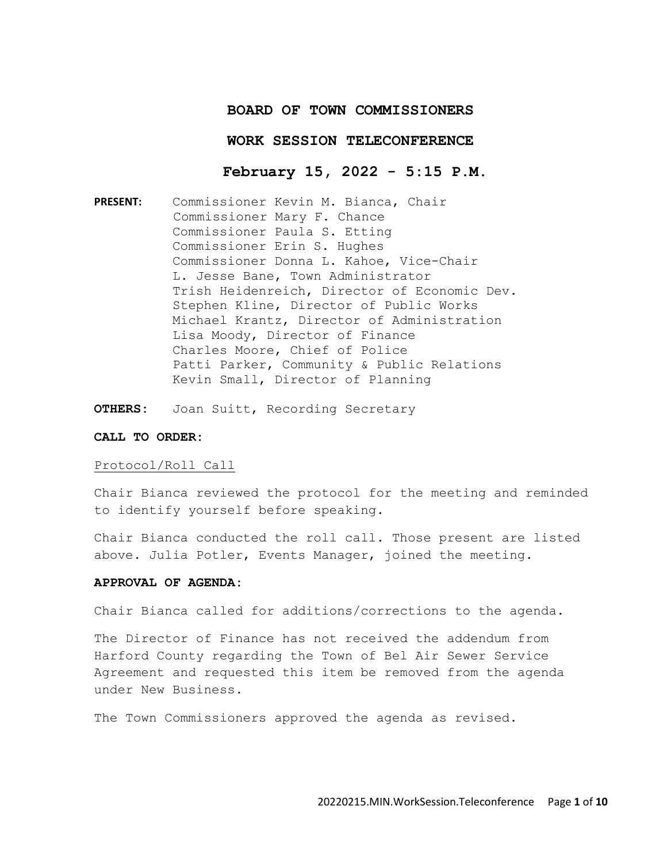# **BOARD OF TOWN COMMISSIONERS**

### **WORK SESSION TELECONFERENCE**

# **February 15, 2022 - 5:15 P.M.**

**PRESENT:** Commissioner Kevin M. Bianca, Chair Commissioner Mary F. Chance Commissioner Paula S. Etting Commissioner Erin S. Hughes Commissioner Donna L. Kahoe, Vice-Chair L. Jesse Bane, Town Administrator Trish Heidenreich, Director of Economic Dev. Stephen Kline, Director of Public Works Michael Krantz, Director of Administration Lisa Moody, Director of Finance Charles Moore, Chief of Police Patti Parker, Community & Public Relations Kevin Small, Director of Planning

**OTHERS:** Joan Suitt, Recording Secretary

### **CALL TO ORDER:**

#### Protocol/Roll Call

Chair Bianca reviewed the protocol for the meeting and reminded to identify yourself before speaking.

Chair Bianca conducted the roll call. Those present are listed above. Julia Potler, Events Manager, joined the meeting.

## **APPROVAL OF AGENDA:**

Chair Bianca called for additions/corrections to the agenda.

The Director of Finance has not received the addendum from Harford County regarding the Town of Bel Air Sewer Service Agreement and requested this item be removed from the agenda under New Business.

The Town Commissioners approved the agenda as revised.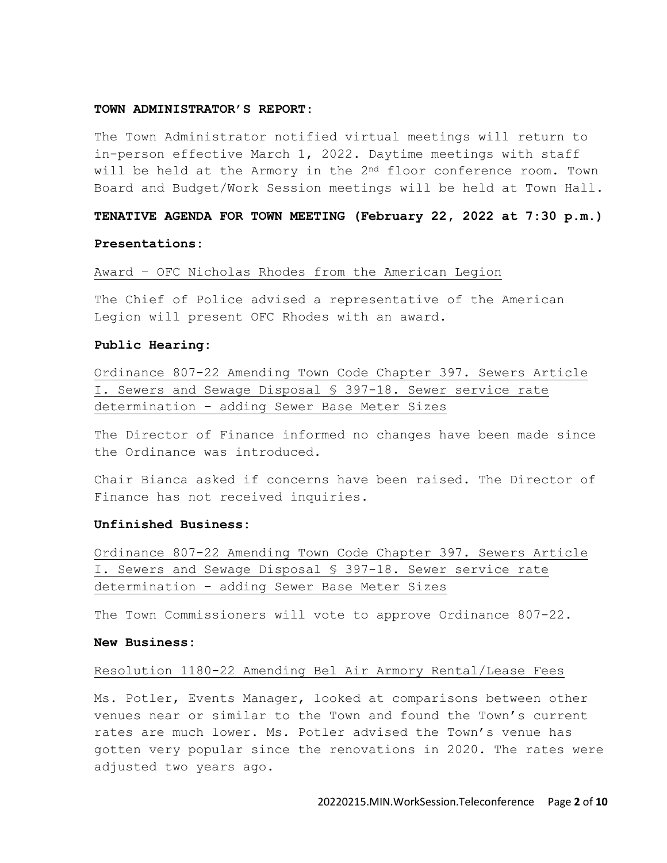#### **TOWN ADMINISTRATOR'S REPORT:**

The Town Administrator notified virtual meetings will return to in-person effective March 1, 2022. Daytime meetings with staff will be held at the Armory in the  $2<sup>nd</sup>$  floor conference room. Town Board and Budget/Work Session meetings will be held at Town Hall.

### **TENATIVE AGENDA FOR TOWN MEETING (February 22, 2022 at 7:30 p.m.)**

#### **Presentations:**

Award – OFC Nicholas Rhodes from the American Legion

The Chief of Police advised a representative of the American Legion will present OFC Rhodes with an award.

#### **Public Hearing:**

Ordinance 807-22 Amending Town Code Chapter 397. Sewers Article I. Sewers and Sewage Disposal § 397-18. Sewer service rate determination – adding Sewer Base Meter Sizes

The Director of Finance informed no changes have been made since the Ordinance was introduced.

Chair Bianca asked if concerns have been raised. The Director of Finance has not received inquiries.

#### **Unfinished Business:**

Ordinance 807-22 Amending Town Code Chapter 397. Sewers Article I. Sewers and Sewage Disposal § 397-18. Sewer service rate determination – adding Sewer Base Meter Sizes

The Town Commissioners will vote to approve Ordinance 807-22.

### **New Business:**

### Resolution 1180-22 Amending Bel Air Armory Rental/Lease Fees

Ms. Potler, Events Manager, looked at comparisons between other venues near or similar to the Town and found the Town's current rates are much lower. Ms. Potler advised the Town's venue has gotten very popular since the renovations in 2020. The rates were adjusted two years ago.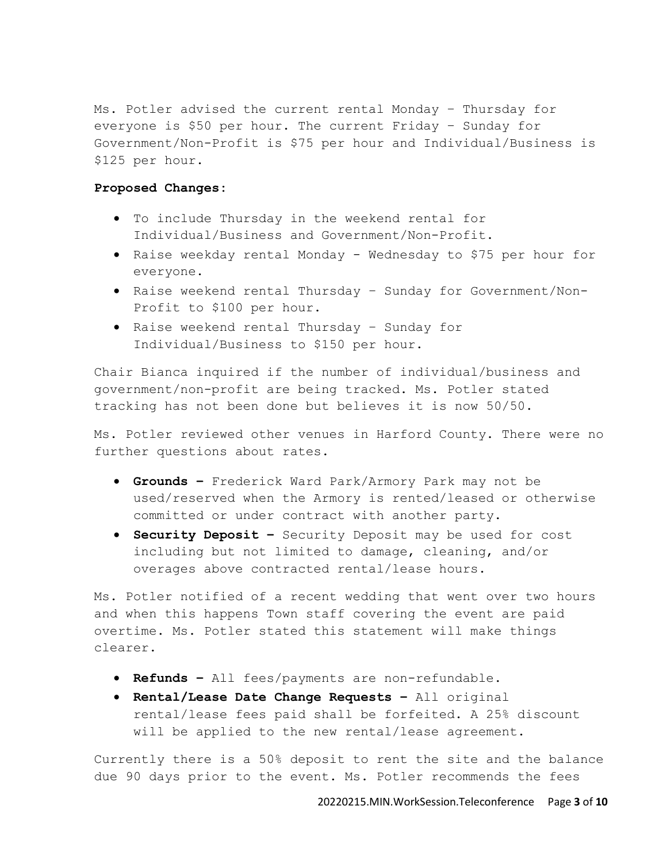Ms. Potler advised the current rental Monday – Thursday for everyone is \$50 per hour. The current Friday – Sunday for Government/Non-Profit is \$75 per hour and Individual/Business is \$125 per hour.

# **Proposed Changes:**

- To include Thursday in the weekend rental for Individual/Business and Government/Non-Profit.
- Raise weekday rental Monday Wednesday to \$75 per hour for everyone.
- Raise weekend rental Thursday Sunday for Government/Non-Profit to \$100 per hour.
- Raise weekend rental Thursday Sunday for Individual/Business to \$150 per hour.

Chair Bianca inquired if the number of individual/business and government/non-profit are being tracked. Ms. Potler stated tracking has not been done but believes it is now 50/50.

Ms. Potler reviewed other venues in Harford County. There were no further questions about rates.

- **Grounds –** Frederick Ward Park/Armory Park may not be used/reserved when the Armory is rented/leased or otherwise committed or under contract with another party.
- **Security Deposit –** Security Deposit may be used for cost including but not limited to damage, cleaning, and/or overages above contracted rental/lease hours.

Ms. Potler notified of a recent wedding that went over two hours and when this happens Town staff covering the event are paid overtime. Ms. Potler stated this statement will make things clearer.

- **Refunds –** All fees/payments are non-refundable.
- **Rental/Lease Date Change Requests –** All original rental/lease fees paid shall be forfeited. A 25% discount will be applied to the new rental/lease agreement.

Currently there is a 50% deposit to rent the site and the balance due 90 days prior to the event. Ms. Potler recommends the fees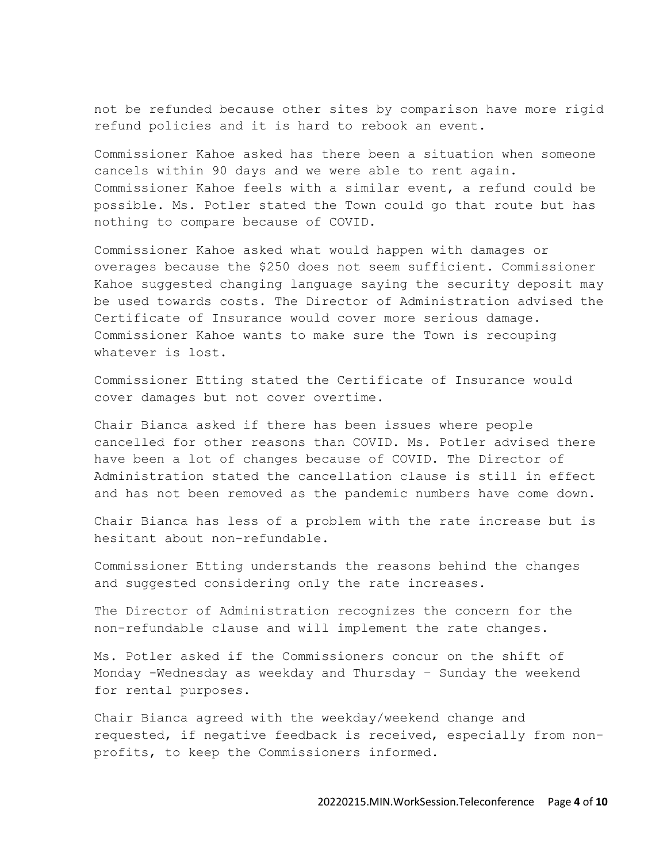not be refunded because other sites by comparison have more rigid refund policies and it is hard to rebook an event.

Commissioner Kahoe asked has there been a situation when someone cancels within 90 days and we were able to rent again. Commissioner Kahoe feels with a similar event, a refund could be possible. Ms. Potler stated the Town could go that route but has nothing to compare because of COVID.

Commissioner Kahoe asked what would happen with damages or overages because the \$250 does not seem sufficient. Commissioner Kahoe suggested changing language saying the security deposit may be used towards costs. The Director of Administration advised the Certificate of Insurance would cover more serious damage. Commissioner Kahoe wants to make sure the Town is recouping whatever is lost.

Commissioner Etting stated the Certificate of Insurance would cover damages but not cover overtime.

Chair Bianca asked if there has been issues where people cancelled for other reasons than COVID. Ms. Potler advised there have been a lot of changes because of COVID. The Director of Administration stated the cancellation clause is still in effect and has not been removed as the pandemic numbers have come down.

Chair Bianca has less of a problem with the rate increase but is hesitant about non-refundable.

Commissioner Etting understands the reasons behind the changes and suggested considering only the rate increases.

The Director of Administration recognizes the concern for the non-refundable clause and will implement the rate changes.

Ms. Potler asked if the Commissioners concur on the shift of Monday -Wednesday as weekday and Thursday – Sunday the weekend for rental purposes.

Chair Bianca agreed with the weekday/weekend change and requested, if negative feedback is received, especially from nonprofits, to keep the Commissioners informed.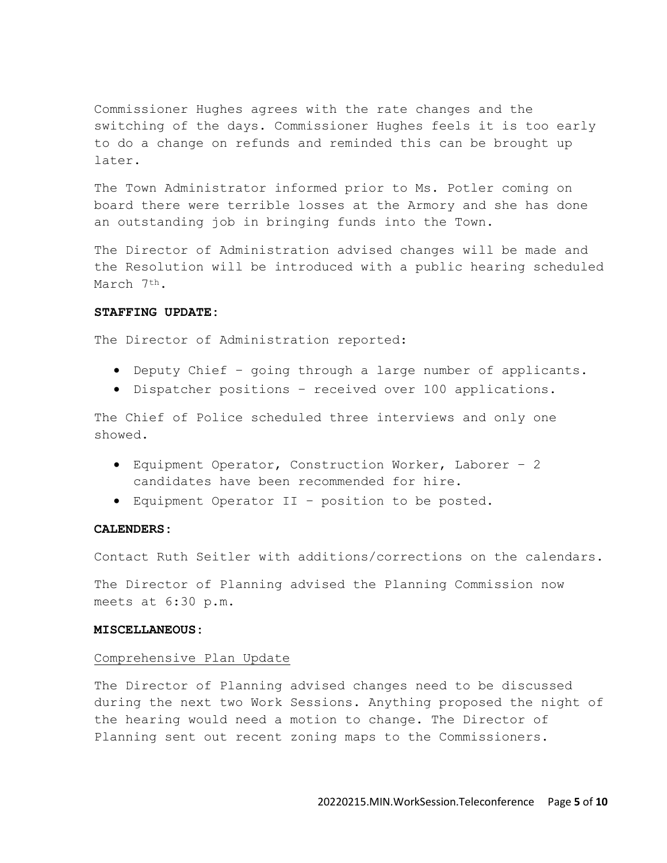Commissioner Hughes agrees with the rate changes and the switching of the days. Commissioner Hughes feels it is too early to do a change on refunds and reminded this can be brought up later.

The Town Administrator informed prior to Ms. Potler coming on board there were terrible losses at the Armory and she has done an outstanding job in bringing funds into the Town.

The Director of Administration advised changes will be made and the Resolution will be introduced with a public hearing scheduled March 7th.

# **STAFFING UPDATE:**

The Director of Administration reported:

- Deputy Chief going through a large number of applicants.
- Dispatcher positions received over 100 applications.

The Chief of Police scheduled three interviews and only one showed.

- Equipment Operator, Construction Worker, Laborer 2 candidates have been recommended for hire.
- Equipment Operator II position to be posted.

### **CALENDERS:**

Contact Ruth Seitler with additions/corrections on the calendars.

The Director of Planning advised the Planning Commission now meets at 6:30 p.m.

### **MISCELLANEOUS:**

#### Comprehensive Plan Update

The Director of Planning advised changes need to be discussed during the next two Work Sessions. Anything proposed the night of the hearing would need a motion to change. The Director of Planning sent out recent zoning maps to the Commissioners.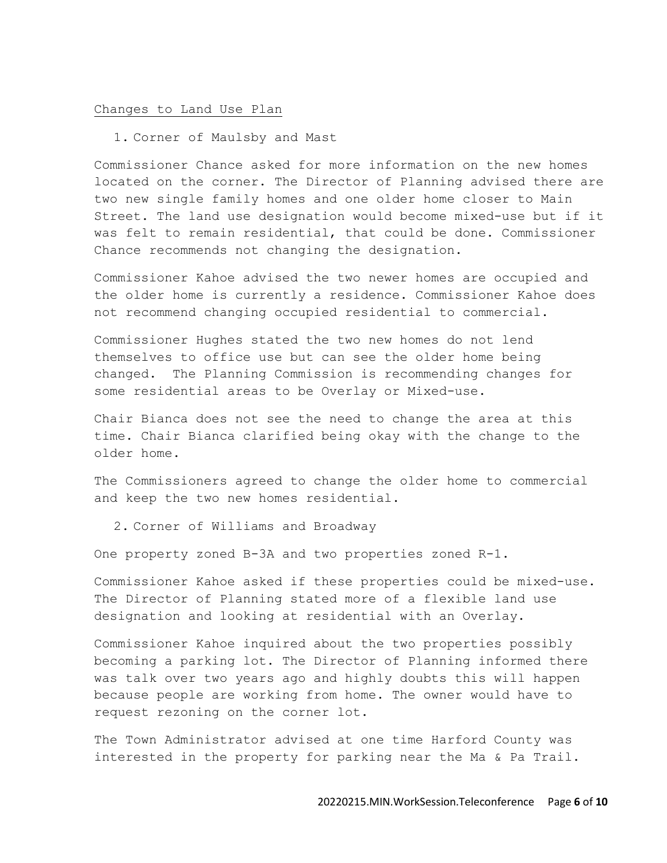#### Changes to Land Use Plan

1. Corner of Maulsby and Mast

Commissioner Chance asked for more information on the new homes located on the corner. The Director of Planning advised there are two new single family homes and one older home closer to Main Street. The land use designation would become mixed-use but if it was felt to remain residential, that could be done. Commissioner Chance recommends not changing the designation.

Commissioner Kahoe advised the two newer homes are occupied and the older home is currently a residence. Commissioner Kahoe does not recommend changing occupied residential to commercial.

Commissioner Hughes stated the two new homes do not lend themselves to office use but can see the older home being changed. The Planning Commission is recommending changes for some residential areas to be Overlay or Mixed-use.

Chair Bianca does not see the need to change the area at this time. Chair Bianca clarified being okay with the change to the older home.

The Commissioners agreed to change the older home to commercial and keep the two new homes residential.

2. Corner of Williams and Broadway

One property zoned B-3A and two properties zoned R-1.

Commissioner Kahoe asked if these properties could be mixed-use. The Director of Planning stated more of a flexible land use designation and looking at residential with an Overlay.

Commissioner Kahoe inquired about the two properties possibly becoming a parking lot. The Director of Planning informed there was talk over two years ago and highly doubts this will happen because people are working from home. The owner would have to request rezoning on the corner lot.

The Town Administrator advised at one time Harford County was interested in the property for parking near the Ma & Pa Trail.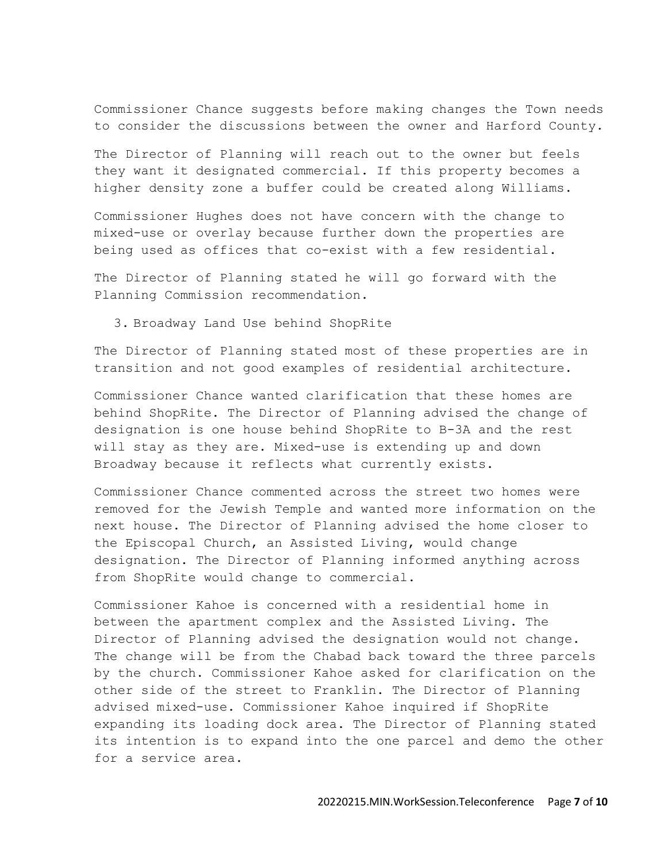Commissioner Chance suggests before making changes the Town needs to consider the discussions between the owner and Harford County.

The Director of Planning will reach out to the owner but feels they want it designated commercial. If this property becomes a higher density zone a buffer could be created along Williams.

Commissioner Hughes does not have concern with the change to mixed-use or overlay because further down the properties are being used as offices that co-exist with a few residential.

The Director of Planning stated he will go forward with the Planning Commission recommendation.

3. Broadway Land Use behind ShopRite

The Director of Planning stated most of these properties are in transition and not good examples of residential architecture.

Commissioner Chance wanted clarification that these homes are behind ShopRite. The Director of Planning advised the change of designation is one house behind ShopRite to B-3A and the rest will stay as they are. Mixed-use is extending up and down Broadway because it reflects what currently exists.

Commissioner Chance commented across the street two homes were removed for the Jewish Temple and wanted more information on the next house. The Director of Planning advised the home closer to the Episcopal Church, an Assisted Living, would change designation. The Director of Planning informed anything across from ShopRite would change to commercial.

Commissioner Kahoe is concerned with a residential home in between the apartment complex and the Assisted Living. The Director of Planning advised the designation would not change. The change will be from the Chabad back toward the three parcels by the church. Commissioner Kahoe asked for clarification on the other side of the street to Franklin. The Director of Planning advised mixed-use. Commissioner Kahoe inquired if ShopRite expanding its loading dock area. The Director of Planning stated its intention is to expand into the one parcel and demo the other for a service area.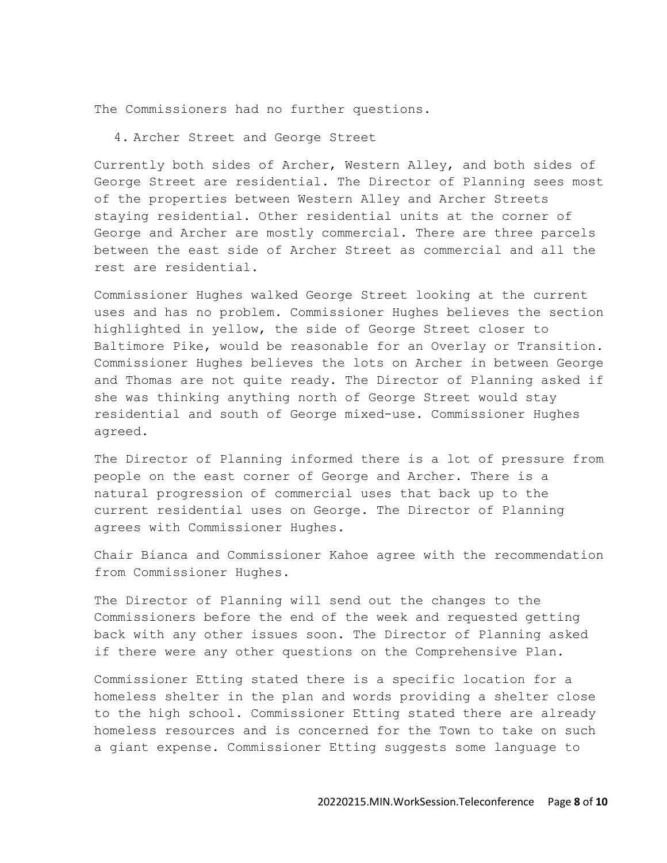The Commissioners had no further questions.

# 4. Archer Street and George Street

Currently both sides of Archer, Western Alley, and both sides of George Street are residential. The Director of Planning sees most of the properties between Western Alley and Archer Streets staying residential. Other residential units at the corner of George and Archer are mostly commercial. There are three parcels between the east side of Archer Street as commercial and all the rest are residential.

Commissioner Hughes walked George Street looking at the current uses and has no problem. Commissioner Hughes believes the section highlighted in yellow, the side of George Street closer to Baltimore Pike, would be reasonable for an Overlay or Transition. Commissioner Hughes believes the lots on Archer in between George and Thomas are not quite ready. The Director of Planning asked if she was thinking anything north of George Street would stay residential and south of George mixed-use. Commissioner Hughes agreed.

The Director of Planning informed there is a lot of pressure from people on the east corner of George and Archer. There is a natural progression of commercial uses that back up to the current residential uses on George. The Director of Planning agrees with Commissioner Hughes.

Chair Bianca and Commissioner Kahoe agree with the recommendation from Commissioner Hughes.

The Director of Planning will send out the changes to the Commissioners before the end of the week and requested getting back with any other issues soon. The Director of Planning asked if there were any other questions on the Comprehensive Plan.

Commissioner Etting stated there is a specific location for a homeless shelter in the plan and words providing a shelter close to the high school. Commissioner Etting stated there are already homeless resources and is concerned for the Town to take on such a giant expense. Commissioner Etting suggests some language to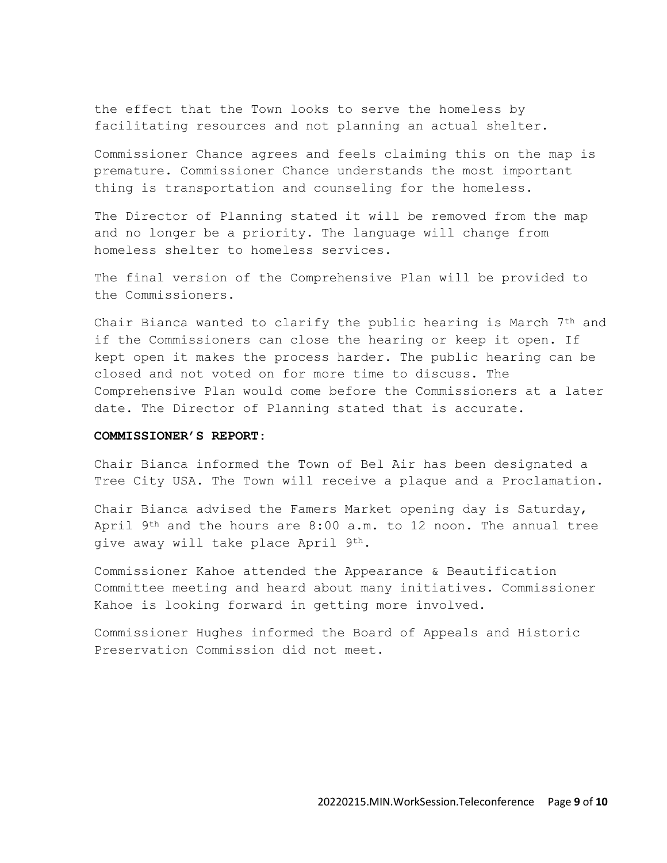the effect that the Town looks to serve the homeless by facilitating resources and not planning an actual shelter.

Commissioner Chance agrees and feels claiming this on the map is premature. Commissioner Chance understands the most important thing is transportation and counseling for the homeless.

The Director of Planning stated it will be removed from the map and no longer be a priority. The language will change from homeless shelter to homeless services.

The final version of the Comprehensive Plan will be provided to the Commissioners.

Chair Bianca wanted to clarify the public hearing is March 7th and if the Commissioners can close the hearing or keep it open. If kept open it makes the process harder. The public hearing can be closed and not voted on for more time to discuss. The Comprehensive Plan would come before the Commissioners at a later date. The Director of Planning stated that is accurate.

### **COMMISSIONER'S REPORT:**

Chair Bianca informed the Town of Bel Air has been designated a Tree City USA. The Town will receive a plaque and a Proclamation.

Chair Bianca advised the Famers Market opening day is Saturday, April 9th and the hours are 8:00 a.m. to 12 noon. The annual tree give away will take place April 9th.

Commissioner Kahoe attended the Appearance & Beautification Committee meeting and heard about many initiatives. Commissioner Kahoe is looking forward in getting more involved.

Commissioner Hughes informed the Board of Appeals and Historic Preservation Commission did not meet.